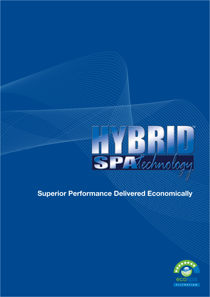

## **Superior Performance Delivered Economically**

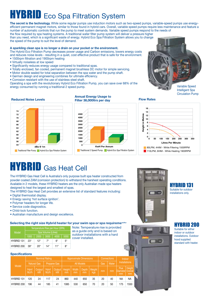# **HYBRID** Eco Spa Filtration System

**The secret is the technology.** While some regular pumps use induction motors such as two-speed pumps, variable-speed pumps use energyefficient permanent magnet motors, similar to those found in hybrid cars. Overall, variable speed pumps require less maintenance and feature a number of automatic controls that run the pump to meet system demands. Variable speed pumps respond to the needs of the flow required by spa heating systems. A traditional water filter pump system will deliver a pressure higher than you need, which is a significant waste of energy. Hybrid Eco Spa Filtration System allows you to change the speed of the pump to suit the level of demand.

### **A sparkling clean spa is no longer a drain on your pocket or the environment.**

The Hybrid Eco Filtration Pump decreases power usage and Carbon emissions, lowers energy costs and reduces noise levels - resulting in a quiet, cost effective product that is safe for the environment.

- 1500rpm filtration and 1900rpm heating
- Virtually noiseless at low speed
- Significantly reduces energy usage compared to traditional spas.
- Totally enclosed, fan cooled, permanent magnet brushless DC motor for simple servicing.
- Motor double sealed for total separation between the spa water and the pump shaft.
- German design and engineering combines for ultimate efficiency.
- Corrosion resistant with the use of stainless steel shaft.

Operating a spa with the revolutionary Hybrid Eco Filtration Pump, you can save over 68% of the energy consumed by running a traditional 2 speed pump.



Variable Speed Intelligent Spa Circulation Pump



### **Annual Energy Usage to Filter 38,000ltrs per day**

### **4500 4000 3500 3000 2500 2000 1500 1000 500 <sup>0</sup> KwH Per Annum Traditional 2 Speed Pump Hybrid Eco Spa Filtration System**

### **Flow Rates**



## **HYBRID** Gas Heat Cell

The HYBRID Gas Heat Cell is Australia's only purpose built spa heater constructed from powder coated ZAM (corrosion protection) to withstand the harshest operating conditions. Available in 2 models, these HYBRID heaters are the only Australian made spa heaters designed to heat the largest and smallest of spas.

The HYBRID Gas Heat Cell provides an extensive list of standard features including:

- Digital thermostat display.
- Energy saving 'hot surface ignition'.
- Polymer headers for longer life.
- Service code diagnostics.
- Child-lock function.
- Australian manufacture and design excellence.

### **Selecting the right size Hybrid heater for your swim spa or spa requirements**

| Model      | Temperature Rise per Hour (SPA) |              |              |      |           |  |  |
|------------|---------------------------------|--------------|--------------|------|-----------|--|--|
|            | Spa Volume (Litres)             |              |              |      |           |  |  |
|            | 1000                            | 2000         | 3000         | 4000 | 5000      |  |  |
| HYBRID 131 | $23^\circ$                      | $12^{\circ}$ | $7^\circ$    | 6°   | $5^\circ$ |  |  |
| HYBRID 200 | $39^\circ$                      | $20^{\circ}$ | $14^{\circ}$ | 11°  | R۰        |  |  |

### **Specifications**

| Model      | <b>Nominal Rating</b> |              |                    |              | <b>Approximate Dimensions</b> |             |                    |               | <b>Connections</b> |       | Indoor                                 |                         |
|------------|-----------------------|--------------|--------------------|--------------|-------------------------------|-------------|--------------------|---------------|--------------------|-------|----------------------------------------|-------------------------|
|            | <b>Natural Gas</b>    |              | <b>Propane Gas</b> |              | <b>All Models</b>             |             |                    |               | Gas                | Water | <b>Installations</b>                   |                         |
|            | Input<br>MJ/h         | Output<br>kW | Input<br>MJ/h      | Output<br>kW | Height<br>mm                  | Width<br>mm | <b>Depth</b><br>mm | Weight<br>kgs | mm                 | mm    | <b>Flue</b><br><b>IDiameterl</b><br>mm | Height<br>Overall<br>mm |
| HYBRID 131 | 120                   | 24           | 117                | 24           | 860                           | 440         | 650                | 35            | 20                 | 40    | <b>NA</b>                              | <b>NA</b>               |
| HYBRID 200 | 196                   | 44           | 185                | 41           | 1085                          | 530         | 650                | 70            | 20                 | 50    | 175                                    | 1550                    |



### HYBRID 200

Suitable for either indoor or outdoor installations. Outdoor hood supplied standard with heater.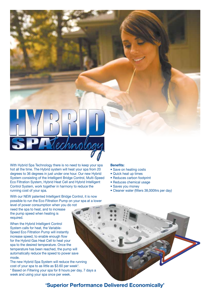

With Hybrid Spa Technology there is no need to keep your spa hot all the time. The Hybrid system will heat your spa from 20 degrees to 36 degrees in just under one hour. Our new Hybrid System consisting of the Intelligent Bridge Control, Multi-Speed Eco Filtration System, Hybrid Heat Cell and Hybrid Intelligent Control System, work together in harmony to reduce the running cost of your spa.

With our NEW patented Intelligent Bridge Control, it is now possible to run the Eco Filtration Pump on your spa at a lower

level of power consumption when you do not need the spa to heat, and to increase the pump speed when heating is required.

When the Hybrid Intelligent Control System calls for heat, the Variable-Speed Eco Filtration Pump will instantly increase speed, to enable enough flow for the Hybrid Gas Heat Cell to heat your spa to the desired temperature. Once the temperature has been reached, the pump will automatically reduce the speed to power save mode.

The new Hybrid Spa System will reduce the running cost of your spa to as little as \$3.60 per week\*. \* Based on Filtering your spa for 8 hours per day, 7 days a week and using your spa once per week.

### **Benefits:**

- Save on heating costs
- Quick heat up times
- Reduces carbon footprint
- Reduces chemical usage
- Saves you money
- Cleaner water (filters 38,000ltrs per day)

**'Superior Performance Delivered Economically'**